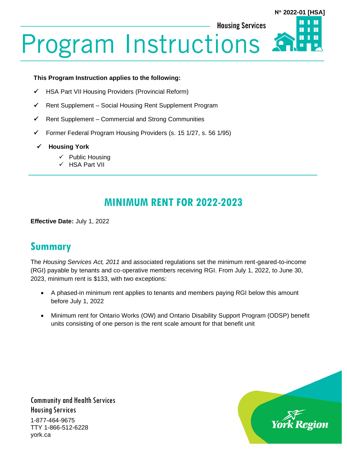**N 2022-01 [HSA]**

Ш

П

**Housing Services** 

# **Program Instructions**

#### **This Program Instruction applies to the following:**

- ✓ HSA Part VII Housing Providers (Provincial Reform)
- ✓ Rent Supplement Social Housing Rent Supplement Program
- $\checkmark$  Rent Supplement Commercial and Strong Communities
- ✓ Former Federal Program Housing Providers (s. 15 1/27, s. 56 1/95)
- ✓ **Housing York**
	- ✓ Public Housing
	- ✓ HSA Part VII

# **MINIMUM RENT FOR 2022-2023**

**Effective Date:** July 1, 2022

## **Summary**

The *Housing Services Act, 2011* and associated regulations set the minimum rent-geared-to-income (RGI) payable by tenants and co-operative members receiving RGI. From July 1, 2022, to June 30, 2023, minimum rent is \$133, with two exceptions:

- A phased-in minimum rent applies to tenants and members paying RGI below this amount before July 1, 2022
- Minimum rent for Ontario Works (OW) and Ontario Disability Support Program (ODSP) benefit units consisting of one person is the rent scale amount for that benefit unit

Community and Health Services Housing Services 1-877-464-9675 TTY 1-866-512-6228 york.ca

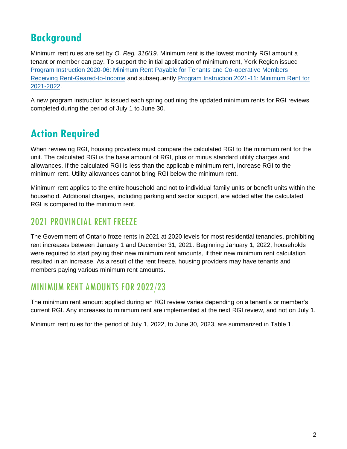# **Background**

Minimum rent rules are set by *O. Reg. 316/19*. Minimum rent is the lowest monthly RGI amount a tenant or member can pay. To support the initial application of minimum rent, York Region issued [Program Instruction 2020-06: Minimum Rent Payable for Tenants and Co-operative Members](https://www.york.ca/media/77671/download)  [Receiving Rent-Geared-to-Income](https://www.york.ca/media/77671/download) and subsequently [Program Instruction 2021-11: Minimum Rent](https://www.york.ca/media/77626/download) for [2021-2022.](https://www.york.ca/media/77626/download)

A new program instruction is issued each spring outlining the updated minimum rents for RGI reviews completed during the period of July 1 to June 30.

# **Action Required**

When reviewing RGI, housing providers must compare the calculated RGI to the minimum rent for the unit. The calculated RGI is the base amount of RGI, plus or minus standard utility charges and allowances. If the calculated RGI is less than the applicable minimum rent, increase RGI to the minimum rent. Utility allowances cannot bring RGI below the minimum rent.

Minimum rent applies to the entire household and not to individual family units or benefit units within the household. Additional charges, including parking and sector support, are added after the calculated RGI is compared to the minimum rent.

### 2021 PROVINCIAL RENT FREEZE

The Government of Ontario froze rents in 2021 at 2020 levels for most residential tenancies, prohibiting rent increases between January 1 and December 31, 2021. Beginning January 1, 2022, households were required to start paying their new minimum rent amounts, if their new minimum rent calculation resulted in an increase. As a result of the rent freeze, housing providers may have tenants and members paying various minimum rent amounts.

### MINIMUM RENT AMOUNTS FOR 2022/23

The minimum rent amount applied during an RGI review varies depending on a tenant's or member's current RGI. Any increases to minimum rent are implemented at the next RGI review, and not on July 1.

Minimum rent rules for the period of July 1, 2022, to June 30, 2023, are summarized in Table 1.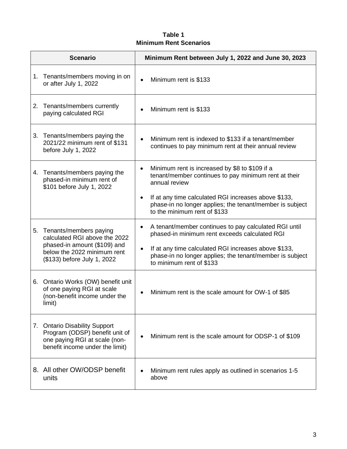#### **Table 1 Minimum Rent Scenarios**

|    | <b>Scenario</b>                                                                                                                                       | Minimum Rent between July 1, 2022 and June 30, 2023                                                                                               |
|----|-------------------------------------------------------------------------------------------------------------------------------------------------------|---------------------------------------------------------------------------------------------------------------------------------------------------|
|    | 1. Tenants/members moving in on<br>or after July 1, 2022                                                                                              | Minimum rent is \$133<br>$\bullet$                                                                                                                |
| 2. | Tenants/members currently<br>paying calculated RGI                                                                                                    | Minimum rent is \$133                                                                                                                             |
|    | 3. Tenants/members paying the<br>2021/22 minimum rent of \$131<br>before July 1, 2022                                                                 | Minimum rent is indexed to \$133 if a tenant/member<br>continues to pay minimum rent at their annual review                                       |
| 4. | Tenants/members paying the<br>phased-in minimum rent of<br>\$101 before July 1, 2022                                                                  | Minimum rent is increased by \$8 to \$109 if a<br>$\bullet$<br>tenant/member continues to pay minimum rent at their<br>annual review              |
|    |                                                                                                                                                       | If at any time calculated RGI increases above \$133,<br>phase-in no longer applies; the tenant/member is subject<br>to the minimum rent of \$133  |
| 5. | Tenants/members paying<br>calculated RGI above the 2022<br>phased-in amount (\$109) and<br>below the 2022 minimum rent<br>(\$133) before July 1, 2022 | A tenant/member continues to pay calculated RGI until<br>٠<br>phased-in minimum rent exceeds calculated RGI                                       |
|    |                                                                                                                                                       | If at any time calculated RGI increases above \$133,<br>٠<br>phase-in no longer applies; the tenant/member is subject<br>to minimum rent of \$133 |
| 6. | Ontario Works (OW) benefit unit<br>of one paying RGI at scale<br>(non-benefit income under the<br>limit)                                              | Minimum rent is the scale amount for OW-1 of \$85                                                                                                 |
|    | 7. Ontario Disability Support<br>Program (ODSP) benefit unit of<br>one paying RGI at scale (non-<br>benefit income under the limit)                   | Minimum rent is the scale amount for ODSP-1 of \$109                                                                                              |
|    | 8. All other OW/ODSP benefit<br>units                                                                                                                 | Minimum rent rules apply as outlined in scenarios 1-5<br>above                                                                                    |